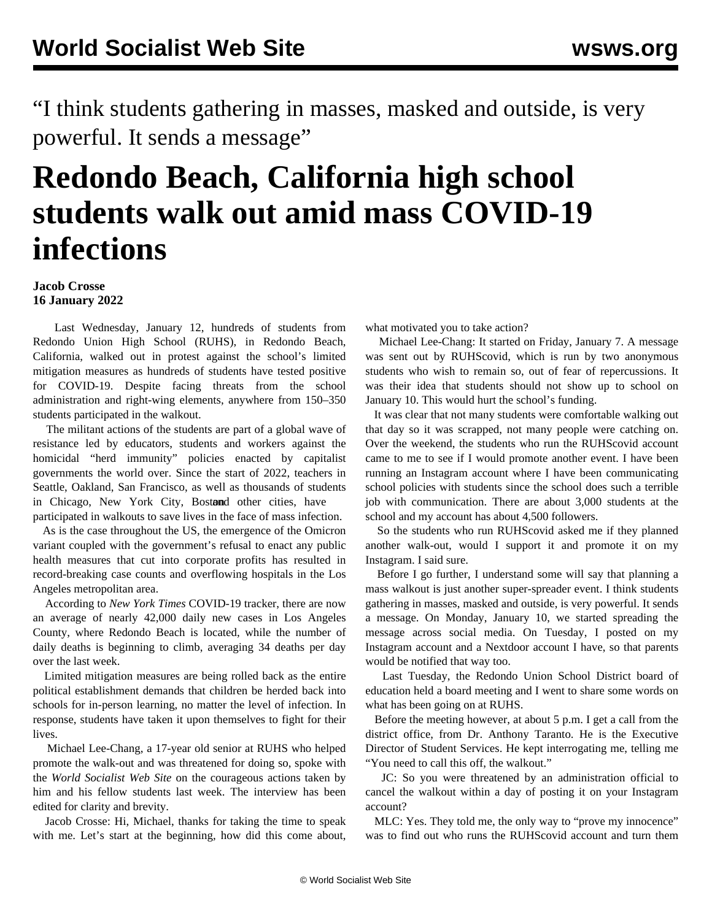"I think students gathering in masses, masked and outside, is very powerful. It sends a message"

## **Redondo Beach, California high school students walk out amid mass COVID-19 infections**

## **Jacob Crosse 16 January 2022**

 Last Wednesday, January 12, hundreds of students from Redondo Union High School (RUHS), in Redondo Beach, California, walked out in protest against the school's limited mitigation measures as hundreds of students have tested positive for COVID-19. Despite facing threats from the school administration and right-wing elements, anywhere from 150–350 students participated in the walkout.

 The militant actions of the students are part of a global wave of resistance led by educators, students and workers against the homicidal "herd immunity" policies enacted by capitalist governments the world over. Since the start of 2022, [teachers in](/en/articles/2022/01/15/seat-j15.html) [Seattle,](/en/articles/2022/01/15/seat-j15.html) [Oakland, San Francisco,](/en/articles/2022/01/06/cali-j06.html) as well as [thousands of students](/en/articles/2022/01/15/chic-j15.html) [in Chicago](/en/articles/2022/01/15/chic-j15.html), [New York City,](/en/articles/2022/01/12/nyci-j12.html) Bostond other cities, have participated in walkouts to save lives in the face of mass infection.

 As is the case throughout the US, the emergence of the Omicron variant coupled with the government's refusal to enact any public health measures that cut into corporate profits has resulted in record-breaking case counts and overflowing hospitals in the Los Angeles metropolitan area.

 According to *New York Times* COVID-19 tracker, there are now an average of nearly 42,000 daily new cases in Los Angeles County, where Redondo Beach is located, while the number of daily deaths is beginning to climb, averaging 34 deaths per day over the last week.

 Limited mitigation measures are being rolled back as the entire political establishment demands that children be herded back into schools for in-person learning, no matter the level of infection. In response, students have taken it upon themselves to fight for their lives.

 Michael Lee-Chang, a 17-year old senior at RUHS who helped promote the walk-out and was threatened for doing so, spoke with the *World Socialist Web Site* on the courageous actions taken by him and his fellow students last week. The interview has been edited for clarity and brevity.

 Jacob Crosse: Hi, Michael, thanks for taking the time to speak with me. Let's start at the beginning, how did this come about, what motivated you to take action?

 Michael Lee-Chang: It started on Friday, January 7. A message was sent out by [RUHScovid,](https://www.instagram.com/p/CYsDH3BPKCQ/) which is run by two anonymous students who wish to remain so, out of fear of repercussions. It was their idea that students should not show up to school on January 10. This would hurt the school's funding.

 It was clear that not many students were comfortable walking out that day so it was scrapped, not many people were catching on. Over the weekend, the students who run the RUHScovid account came to me to see if I would promote another event. I have been running an Instagram account where I have been communicating school policies with students since the school does such a terrible job with communication. There are about 3,000 students at the school and my account has about 4,500 followers.

 So the students who run RUHScovid asked me if they planned another walk-out, would I support it and promote it on my Instagram. I said sure.

 Before I go further, I understand some will say that planning a mass walkout is just another super-spreader event. I think students gathering in masses, masked and outside, is very powerful. It sends a message. On Monday, January 10, we started spreading the message across social media. On Tuesday, I posted on my Instagram account and a Nextdoor account I have, so that parents would be notified that way too.

 Last Tuesday, the Redondo Union School District board of education held a board meeting and I went to share some words on what has been going on at RUHS.

 Before the meeting however, at about 5 p.m. I get a call from the district office, from Dr. Anthony Taranto. He is the Executive Director of Student Services. He kept interrogating me, telling me "You need to call this off, the walkout."

 JC: So you were threatened by an administration official to cancel the walkout within a day of posting it on your Instagram account?

 MLC: Yes. They told me, the only way to "prove my innocence" was to find out who runs the RUHScovid account and turn them